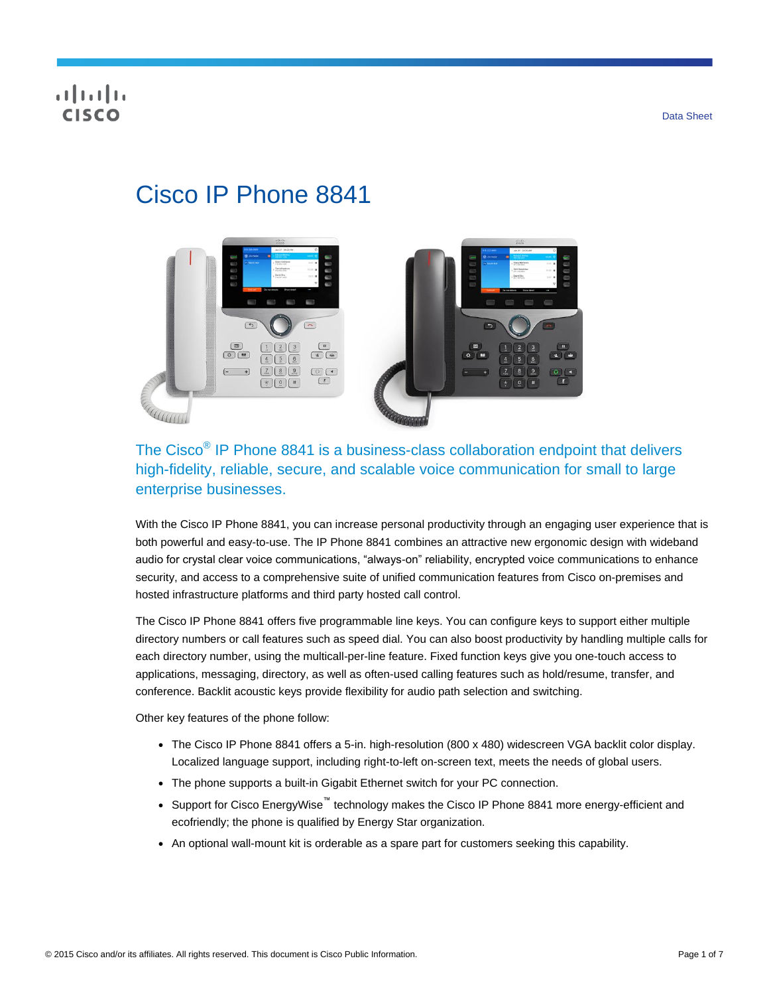## **CISCO**

# Cisco IP Phone 8841



The Cisco<sup>®</sup> IP Phone 8841 is a business-class collaboration endpoint that delivers high-fidelity, reliable, secure, and scalable voice communication for small to large enterprise businesses.

With the Cisco IP Phone 8841, you can increase personal productivity through an engaging user experience that is both powerful and easy-to-use. The IP Phone 8841 combines an attractive new ergonomic design with wideband audio for crystal clear voice communications, "always-on" reliability, encrypted voice communications to enhance security, and access to a comprehensive suite of unified communication features from Cisco on-premises and hosted infrastructure platforms and third party hosted call control.

The Cisco IP Phone 8841 offers five programmable line keys. You can configure keys to support either multiple directory numbers or call features such as speed dial. You can also boost productivity by handling multiple calls for each directory number, using the multicall-per-line feature. Fixed function keys give you one-touch access to applications, messaging, directory, as well as often-used calling features such as hold/resume, transfer, and conference. Backlit acoustic keys provide flexibility for audio path selection and switching.

Other key features of the phone follow:

- The Cisco IP Phone 8841 offers a 5-in. high-resolution (800 x 480) widescreen VGA backlit color display. Localized language support, including right-to-left on-screen text, meets the needs of global users.
- The phone supports a built-in Gigabit Ethernet switch for your PC connection.
- Support for Cisco EnergyWise<sup>™</sup> technology makes the Cisco IP Phone 8841 more energy-efficient and ecofriendly; the phone is qualified by Energy Star organization.
- An optional wall-mount kit is orderable as a spare part for customers seeking this capability.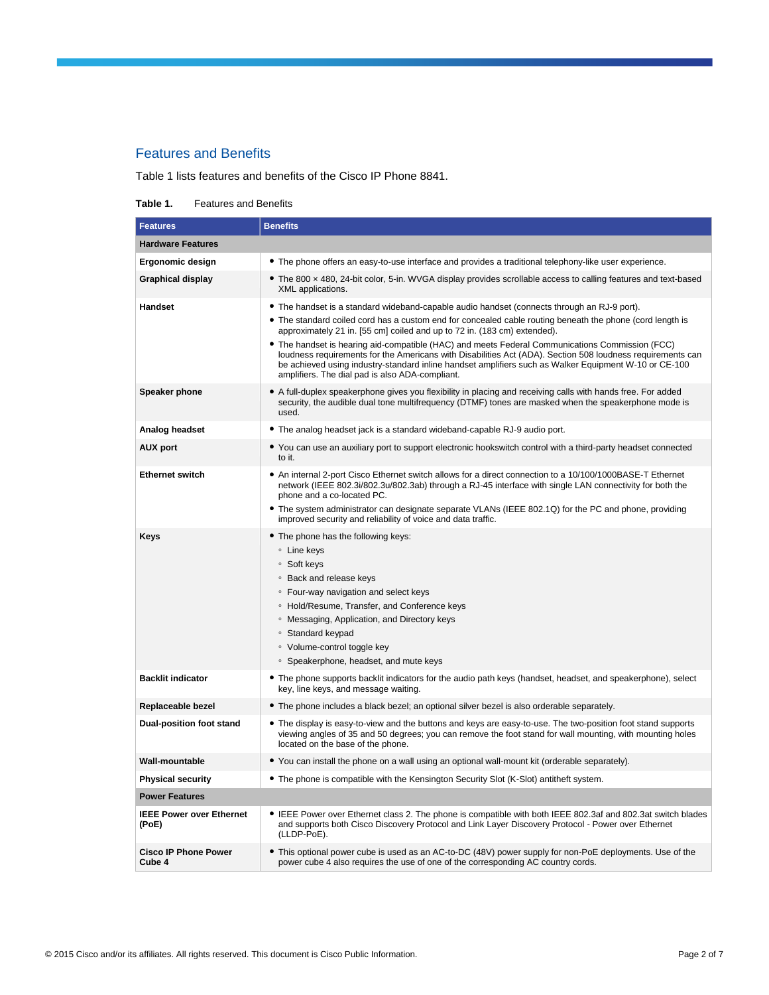## Features and Benefits

Table 1 lists features and benefits of the Cisco IP Phone 8841.

#### **Table 1.** Features and Benefits

| <b>Features</b>                          | <b>Benefits</b>                                                                                                                                                                                                                                                                                                                                                                                                                                                                                                                                                                                                                                                 |  |
|------------------------------------------|-----------------------------------------------------------------------------------------------------------------------------------------------------------------------------------------------------------------------------------------------------------------------------------------------------------------------------------------------------------------------------------------------------------------------------------------------------------------------------------------------------------------------------------------------------------------------------------------------------------------------------------------------------------------|--|
| <b>Hardware Features</b>                 |                                                                                                                                                                                                                                                                                                                                                                                                                                                                                                                                                                                                                                                                 |  |
| Ergonomic design                         | • The phone offers an easy-to-use interface and provides a traditional telephony-like user experience.                                                                                                                                                                                                                                                                                                                                                                                                                                                                                                                                                          |  |
| <b>Graphical display</b>                 | • The 800 x 480, 24-bit color, 5-in. WVGA display provides scrollable access to calling features and text-based<br>XML applications.                                                                                                                                                                                                                                                                                                                                                                                                                                                                                                                            |  |
| <b>Handset</b>                           | • The handset is a standard wideband-capable audio handset (connects through an RJ-9 port).<br>The standard coiled cord has a custom end for concealed cable routing beneath the phone (cord length is<br>approximately 21 in. [55 cm] coiled and up to 72 in. (183 cm) extended).<br>• The handset is hearing aid-compatible (HAC) and meets Federal Communications Commission (FCC)<br>loudness requirements for the Americans with Disabilities Act (ADA). Section 508 loudness requirements can<br>be achieved using industry-standard inline handset amplifiers such as Walker Equipment W-10 or CE-100<br>amplifiers. The dial pad is also ADA-compliant. |  |
| <b>Speaker phone</b>                     | • A full-duplex speakerphone gives you flexibility in placing and receiving calls with hands free. For added<br>security, the audible dual tone multifrequency (DTMF) tones are masked when the speakerphone mode is<br>used.                                                                                                                                                                                                                                                                                                                                                                                                                                   |  |
| Analog headset                           | • The analog headset jack is a standard wideband-capable RJ-9 audio port.                                                                                                                                                                                                                                                                                                                                                                                                                                                                                                                                                                                       |  |
| <b>AUX port</b>                          | • You can use an auxiliary port to support electronic hookswitch control with a third-party headset connected<br>to it.                                                                                                                                                                                                                                                                                                                                                                                                                                                                                                                                         |  |
| <b>Ethernet switch</b>                   | • An internal 2-port Cisco Ethernet switch allows for a direct connection to a 10/100/1000BASE-T Ethernet<br>network (IEEE 802.3i/802.3u/802.3ab) through a RJ-45 interface with single LAN connectivity for both the<br>phone and a co-located PC.<br>• The system administrator can designate separate VLANs (IEEE 802.1Q) for the PC and phone, providing<br>improved security and reliability of voice and data traffic.                                                                                                                                                                                                                                    |  |
| Keys                                     | • The phone has the following keys:<br>∘ Line keys<br>∘ Soft keys<br>○ Back and release keys<br>• Four-way navigation and select keys<br>○ Hold/Resume, Transfer, and Conference keys<br><sup>o</sup> Messaging, Application, and Directory keys<br>∘ Standard keypad<br>• Volume-control toggle key<br>• Speakerphone, headset, and mute keys                                                                                                                                                                                                                                                                                                                  |  |
| <b>Backlit indicator</b>                 | • The phone supports backlit indicators for the audio path keys (handset, headset, and speakerphone), select<br>key, line keys, and message waiting.                                                                                                                                                                                                                                                                                                                                                                                                                                                                                                            |  |
| Replaceable bezel                        | • The phone includes a black bezel; an optional silver bezel is also orderable separately.                                                                                                                                                                                                                                                                                                                                                                                                                                                                                                                                                                      |  |
| Dual-position foot stand                 | • The display is easy-to-view and the buttons and keys are easy-to-use. The two-position foot stand supports<br>viewing angles of 35 and 50 degrees; you can remove the foot stand for wall mounting, with mounting holes<br>located on the base of the phone.                                                                                                                                                                                                                                                                                                                                                                                                  |  |
| Wall-mountable                           | • You can install the phone on a wall using an optional wall-mount kit (orderable separately).                                                                                                                                                                                                                                                                                                                                                                                                                                                                                                                                                                  |  |
| <b>Physical security</b>                 | • The phone is compatible with the Kensington Security Slot (K-Slot) antitheft system.                                                                                                                                                                                                                                                                                                                                                                                                                                                                                                                                                                          |  |
| <b>Power Features</b>                    |                                                                                                                                                                                                                                                                                                                                                                                                                                                                                                                                                                                                                                                                 |  |
| <b>IEEE Power over Ethernet</b><br>(PoE) | • IEEE Power over Ethernet class 2. The phone is compatible with both IEEE 802.3af and 802.3at switch blades<br>and supports both Cisco Discovery Protocol and Link Layer Discovery Protocol - Power over Ethernet<br>(LLDP-PoE).                                                                                                                                                                                                                                                                                                                                                                                                                               |  |
| <b>Cisco IP Phone Power</b><br>Cube 4    | • This optional power cube is used as an AC-to-DC (48V) power supply for non-PoE deployments. Use of the<br>power cube 4 also requires the use of one of the corresponding AC country cords.                                                                                                                                                                                                                                                                                                                                                                                                                                                                    |  |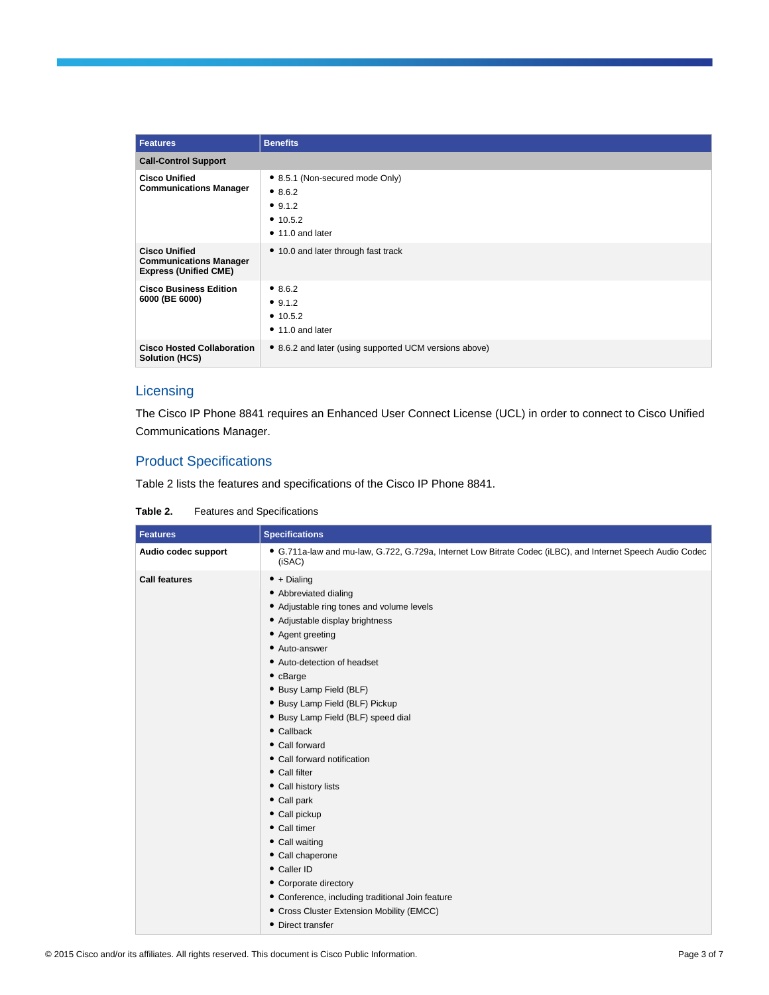| <b>Features</b>                                                                       | <b>Benefits</b>                                                                                   |
|---------------------------------------------------------------------------------------|---------------------------------------------------------------------------------------------------|
| <b>Call-Control Support</b>                                                           |                                                                                                   |
| <b>Cisco Unified</b><br><b>Communications Manager</b>                                 | • 8.5.1 (Non-secured mode Only)<br>• 8.6.2<br>• $9.1.2$<br>• $10.5.2$<br>$\bullet$ 11.0 and later |
| <b>Cisco Unified</b><br><b>Communications Manager</b><br><b>Express (Unified CME)</b> | • 10.0 and later through fast track                                                               |
| <b>Cisco Business Edition</b><br>6000 (BE 6000)                                       | • 8.6.2<br>• 9.1.2<br>• $10.5.2$<br>$\bullet$ 11.0 and later                                      |
| <b>Cisco Hosted Collaboration</b><br><b>Solution (HCS)</b>                            | • 8.6.2 and later (using supported UCM versions above)                                            |

## **Licensing**

The Cisco IP Phone 8841 requires an Enhanced User Connect License (UCL) in order to connect to Cisco Unified Communications Manager.

## Product Specifications

Table 2 lists the features and specifications of the Cisco IP Phone 8841.

**Table 2.** Features and Specifications

| <b>Features</b>      | <b>Specifications</b>                                                                                                                                                                                                                                                                                                                                                                                                                                                                                                                                                                                                                                                                       |
|----------------------|---------------------------------------------------------------------------------------------------------------------------------------------------------------------------------------------------------------------------------------------------------------------------------------------------------------------------------------------------------------------------------------------------------------------------------------------------------------------------------------------------------------------------------------------------------------------------------------------------------------------------------------------------------------------------------------------|
| Audio codec support  | • G.711a-law and mu-law, G.722, G.729a, Internet Low Bitrate Codec (iLBC), and Internet Speech Audio Codec<br>(iSAC)                                                                                                                                                                                                                                                                                                                                                                                                                                                                                                                                                                        |
| <b>Call features</b> | $\bullet$ + Dialing<br>• Abbreviated dialing<br>• Adjustable ring tones and volume levels<br>• Adjustable display brightness<br>• Agent greeting<br>• Auto-answer<br>• Auto-detection of headset<br>$\bullet$ cBarge<br>• Busy Lamp Field (BLF)<br>• Busy Lamp Field (BLF) Pickup<br>• Busy Lamp Field (BLF) speed dial<br>$\bullet$ Callback<br>• Call forward<br>• Call forward notification<br>• Call filter<br>• Call history lists<br>• Call park<br>• Call pickup<br>• Call timer<br>• Call waiting<br>• Call chaperone<br>• Caller ID<br>• Corporate directory<br>• Conference, including traditional Join feature<br>• Cross Cluster Extension Mobility (EMCC)<br>• Direct transfer |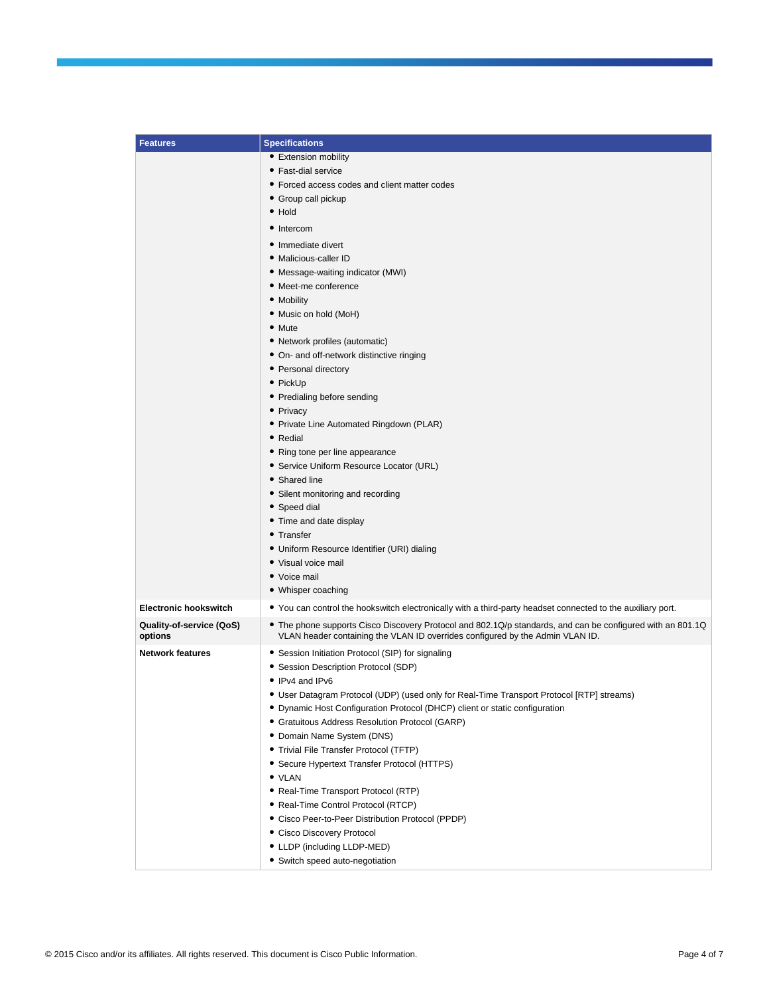| <b>Features</b>                     | <b>Specifications</b>                                                                                                                                                                       |
|-------------------------------------|---------------------------------------------------------------------------------------------------------------------------------------------------------------------------------------------|
|                                     | • Extension mobility                                                                                                                                                                        |
|                                     | • Fast-dial service                                                                                                                                                                         |
|                                     | • Forced access codes and client matter codes                                                                                                                                               |
|                                     | • Group call pickup                                                                                                                                                                         |
|                                     | • Hold                                                                                                                                                                                      |
|                                     | • Intercom                                                                                                                                                                                  |
|                                     | • Immediate divert                                                                                                                                                                          |
|                                     | • Malicious-caller ID                                                                                                                                                                       |
|                                     | • Message-waiting indicator (MWI)                                                                                                                                                           |
|                                     | • Meet-me conference                                                                                                                                                                        |
|                                     | • Mobility                                                                                                                                                                                  |
|                                     | • Music on hold (MoH)                                                                                                                                                                       |
|                                     | • Mute                                                                                                                                                                                      |
|                                     | • Network profiles (automatic)                                                                                                                                                              |
|                                     | • On- and off-network distinctive ringing                                                                                                                                                   |
|                                     | • Personal directory                                                                                                                                                                        |
|                                     | • PickUp                                                                                                                                                                                    |
|                                     | • Predialing before sending                                                                                                                                                                 |
|                                     | • Privacy                                                                                                                                                                                   |
|                                     | • Private Line Automated Ringdown (PLAR)                                                                                                                                                    |
|                                     | • Redial                                                                                                                                                                                    |
|                                     | • Ring tone per line appearance                                                                                                                                                             |
|                                     | • Service Uniform Resource Locator (URL)<br>• Shared line                                                                                                                                   |
|                                     | • Silent monitoring and recording                                                                                                                                                           |
|                                     | • Speed dial                                                                                                                                                                                |
|                                     | • Time and date display                                                                                                                                                                     |
|                                     | • Transfer                                                                                                                                                                                  |
|                                     | • Uniform Resource Identifier (URI) dialing                                                                                                                                                 |
|                                     | • Visual voice mail                                                                                                                                                                         |
|                                     | • Voice mail                                                                                                                                                                                |
|                                     | • Whisper coaching                                                                                                                                                                          |
| <b>Electronic hookswitch</b>        | • You can control the hookswitch electronically with a third-party headset connected to the auxiliary port.                                                                                 |
| Quality-of-service (QoS)<br>options | • The phone supports Cisco Discovery Protocol and 802.1Q/p standards, and can be configured with an 801.1Q<br>VLAN header containing the VLAN ID overrides configured by the Admin VLAN ID. |
| <b>Network features</b>             | • Session Initiation Protocol (SIP) for signaling                                                                                                                                           |
|                                     | • Session Description Protocol (SDP)                                                                                                                                                        |
|                                     | • IPv4 and IPv6                                                                                                                                                                             |
|                                     | • User Datagram Protocol (UDP) (used only for Real-Time Transport Protocol [RTP] streams)                                                                                                   |
|                                     | • Dynamic Host Configuration Protocol (DHCP) client or static configuration                                                                                                                 |
|                                     | • Gratuitous Address Resolution Protocol (GARP)                                                                                                                                             |
|                                     | • Domain Name System (DNS)                                                                                                                                                                  |
|                                     | • Trivial File Transfer Protocol (TFTP)                                                                                                                                                     |
|                                     | • Secure Hypertext Transfer Protocol (HTTPS)<br>• VLAN                                                                                                                                      |
|                                     | • Real-Time Transport Protocol (RTP)                                                                                                                                                        |
|                                     | • Real-Time Control Protocol (RTCP)                                                                                                                                                         |
|                                     | • Cisco Peer-to-Peer Distribution Protocol (PPDP)                                                                                                                                           |
|                                     | • Cisco Discovery Protocol                                                                                                                                                                  |
|                                     | • LLDP (including LLDP-MED)                                                                                                                                                                 |
|                                     | • Switch speed auto-negotiation                                                                                                                                                             |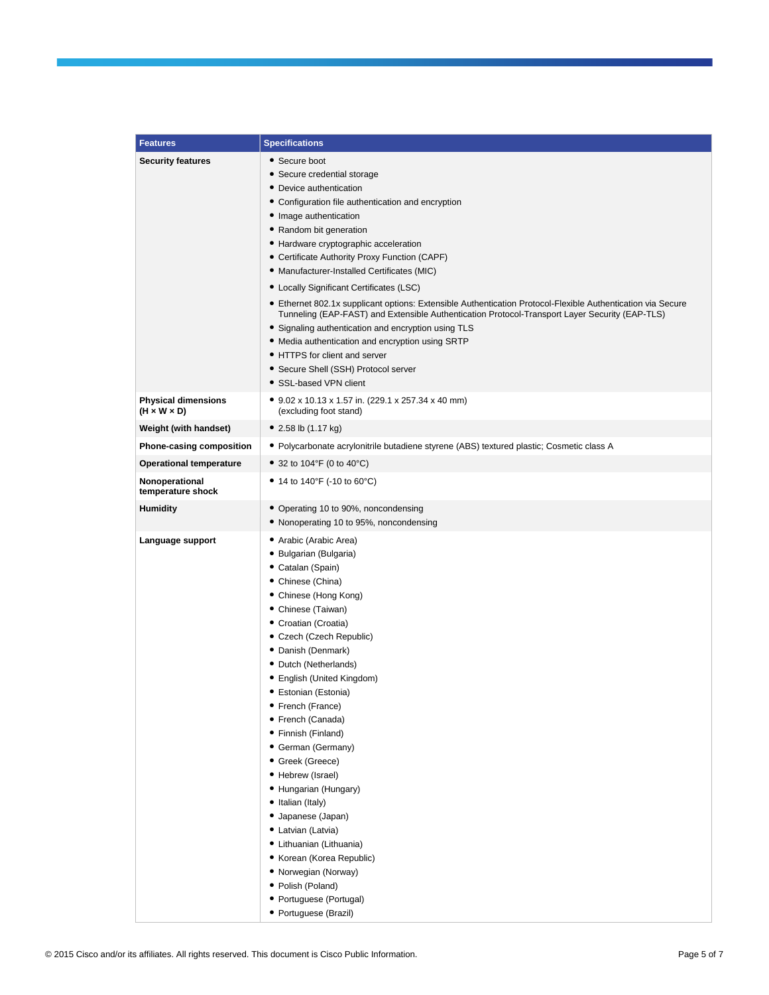| <b>Features</b>                                       | <b>Specifications</b>                                                                                                                                                                                                                                                                                                                                                                                                                                                                                                                                                                                                                                                                                                                                                                                  |
|-------------------------------------------------------|--------------------------------------------------------------------------------------------------------------------------------------------------------------------------------------------------------------------------------------------------------------------------------------------------------------------------------------------------------------------------------------------------------------------------------------------------------------------------------------------------------------------------------------------------------------------------------------------------------------------------------------------------------------------------------------------------------------------------------------------------------------------------------------------------------|
| <b>Security features</b>                              | • Secure boot<br>• Secure credential storage<br>• Device authentication<br>• Configuration file authentication and encryption<br>• Image authentication<br>• Random bit generation<br>• Hardware cryptographic acceleration<br>• Certificate Authority Proxy Function (CAPF)<br>• Manufacturer-Installed Certificates (MIC)<br>• Locally Significant Certificates (LSC)<br>• Ethernet 802.1x supplicant options: Extensible Authentication Protocol-Flexible Authentication via Secure<br>Tunneling (EAP-FAST) and Extensible Authentication Protocol-Transport Layer Security (EAP-TLS)<br>• Signaling authentication and encryption using TLS<br>• Media authentication and encryption using SRTP<br>• HTTPS for client and server<br>• Secure Shell (SSH) Protocol server<br>• SSL-based VPN client |
| <b>Physical dimensions</b><br>$(H \times W \times D)$ | • 9.02 x 10.13 x 1.57 in. (229.1 x 257.34 x 40 mm)<br>(excluding foot stand)                                                                                                                                                                                                                                                                                                                                                                                                                                                                                                                                                                                                                                                                                                                           |
| Weight (with handset)                                 | • 2.58 lb $(1.17 \text{ kg})$                                                                                                                                                                                                                                                                                                                                                                                                                                                                                                                                                                                                                                                                                                                                                                          |
| Phone-casing composition                              | • Polycarbonate acrylonitrile butadiene styrene (ABS) textured plastic; Cosmetic class A                                                                                                                                                                                                                                                                                                                                                                                                                                                                                                                                                                                                                                                                                                               |
| <b>Operational temperature</b>                        | • 32 to 104°F (0 to 40°C)                                                                                                                                                                                                                                                                                                                                                                                                                                                                                                                                                                                                                                                                                                                                                                              |
| Nonoperational<br>temperature shock                   | • 14 to 140°F (-10 to 60°C)                                                                                                                                                                                                                                                                                                                                                                                                                                                                                                                                                                                                                                                                                                                                                                            |
| <b>Humidity</b>                                       | • Operating 10 to 90%, noncondensing<br>• Nonoperating 10 to 95%, noncondensing                                                                                                                                                                                                                                                                                                                                                                                                                                                                                                                                                                                                                                                                                                                        |
| Language support                                      | • Arabic (Arabic Area)<br>• Bulgarian (Bulgaria)<br>• Catalan (Spain)<br>• Chinese (China)<br>• Chinese (Hong Kong)<br>• Chinese (Taiwan)<br>• Croatian (Croatia)<br>• Czech (Czech Republic)<br>• Danish (Denmark)<br>• Dutch (Netherlands)<br>• English (United Kingdom)<br>• Estonian (Estonia)<br>• French (France)<br>• French (Canada)<br>• Finnish (Finland)<br>• German (Germany)<br>• Greek (Greece)<br>• Hebrew (Israel)<br>• Hungarian (Hungary)<br>• Italian (Italy)<br>• Japanese (Japan)<br>• Latvian (Latvia)<br>• Lithuanian (Lithuania)<br>• Korean (Korea Republic)<br>• Norwegian (Norway)<br>• Polish (Poland)<br>• Portuguese (Portugal)<br>• Portuguese (Brazil)                                                                                                                 |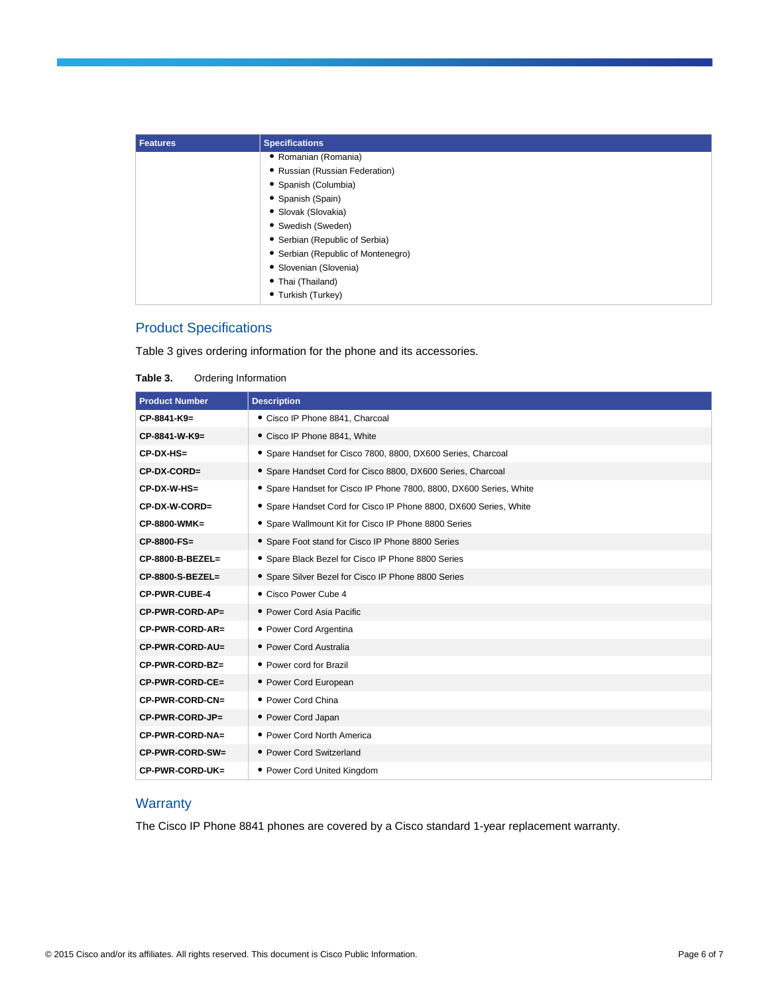| <b>Features</b> | <b>Specifications</b>              |
|-----------------|------------------------------------|
|                 | • Romanian (Romania)               |
|                 | • Russian (Russian Federation)     |
|                 | • Spanish (Columbia)               |
|                 | • Spanish (Spain)                  |
|                 | • Slovak (Slovakia)                |
|                 | • Swedish (Sweden)                 |
|                 | • Serbian (Republic of Serbia)     |
|                 | • Serbian (Republic of Montenegro) |
|                 | · Slovenian (Slovenia)             |
|                 | • Thai (Thailand)                  |
|                 | • Turkish (Turkey)                 |

## Product Specifications

Table 3 gives ordering information for the phone and its accessories.

**Table 3.** Ordering Information

| <b>Product Number</b> | <b>Description</b>                                                 |
|-----------------------|--------------------------------------------------------------------|
| CP-8841-K9=           | • Cisco IP Phone 8841, Charcoal                                    |
| CP-8841-W-K9=         | • Cisco IP Phone 8841, White                                       |
| $CP-DX-HS=$           | • Spare Handset for Cisco 7800, 8800, DX600 Series, Charcoal       |
| CP-DX-CORD=           | • Spare Handset Cord for Cisco 8800, DX600 Series, Charcoal        |
| CP-DX-W-HS=           | • Spare Handset for Cisco IP Phone 7800, 8800, DX600 Series, White |
| CP-DX-W-CORD=         | • Spare Handset Cord for Cisco IP Phone 8800, DX600 Series, White  |
| CP-8800-WMK=          | • Spare Wallmount Kit for Cisco IP Phone 8800 Series               |
| CP-8800-FS=           | • Spare Foot stand for Cisco IP Phone 8800 Series                  |
| CP-8800-B-BEZEL=      | • Spare Black Bezel for Cisco IP Phone 8800 Series                 |
| CP-8800-S-BEZEL=      | • Spare Silver Bezel for Cisco IP Phone 8800 Series                |
| <b>CP-PWR-CUBE-4</b>  | • Cisco Power Cube 4                                               |
| CP-PWR-CORD-AP=       | • Power Cord Asia Pacific                                          |
| CP-PWR-CORD-AR=       | • Power Cord Argentina                                             |
| CP-PWR-CORD-AU=       | • Power Cord Australia                                             |
| CP-PWR-CORD-BZ=       | • Power cord for Brazil                                            |
| CP-PWR-CORD-CE=       | • Power Cord European                                              |
| CP-PWR-CORD-CN=       | • Power Cord China                                                 |
| CP-PWR-CORD-JP=       | • Power Cord Japan                                                 |
| CP-PWR-CORD-NA=       | • Power Cord North America                                         |
| CP-PWR-CORD-SW=       | • Power Cord Switzerland                                           |
| CP-PWR-CORD-UK=       | • Power Cord United Kingdom                                        |

## **Warranty**

The Cisco IP Phone 8841 phones are covered by a Cisco standard 1-year replacement warranty.